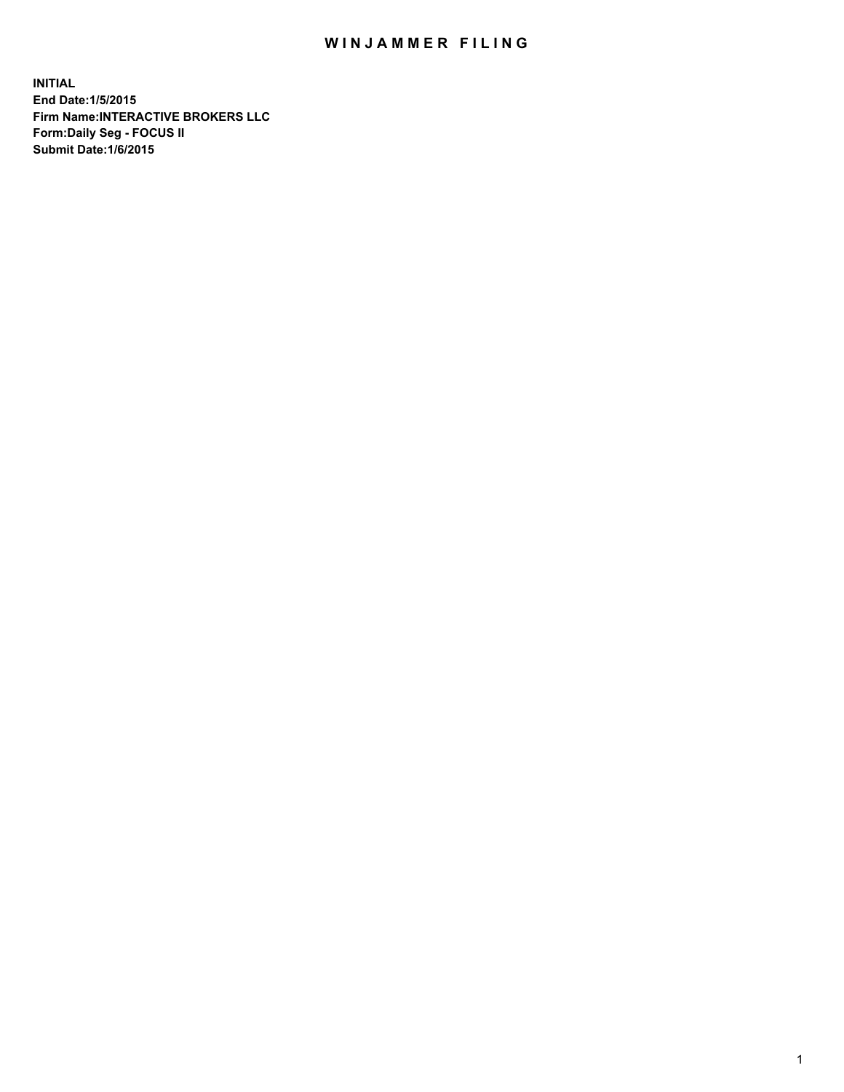## WIN JAMMER FILING

**INITIAL End Date:1/5/2015 Firm Name:INTERACTIVE BROKERS LLC Form:Daily Seg - FOCUS II Submit Date:1/6/2015**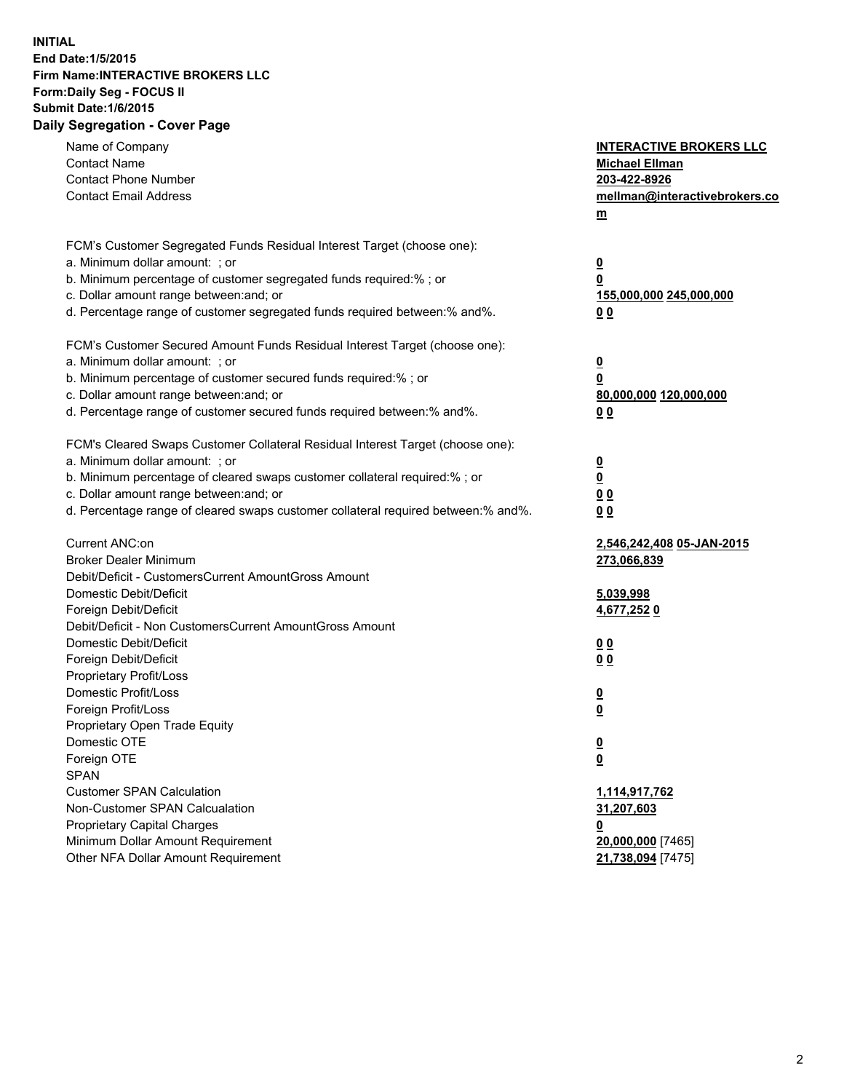## **INITIAL End Date:1/5/2015 Firm Name:INTERACTIVE BROKERS LLC Form:Daily Seg - FOCUS II Submit Date:1/6/2015 Daily Segregation - Cover Page**

| Name of Company                                                                   | <b>INTERACTIVE BROKERS LLC</b> |
|-----------------------------------------------------------------------------------|--------------------------------|
| <b>Contact Name</b>                                                               | <b>Michael Ellman</b>          |
| <b>Contact Phone Number</b>                                                       | 203-422-8926                   |
| <b>Contact Email Address</b>                                                      | mellman@interactivebrokers.co  |
|                                                                                   | $\underline{\mathbf{m}}$       |
| FCM's Customer Segregated Funds Residual Interest Target (choose one):            |                                |
| a. Minimum dollar amount: ; or                                                    | $\overline{\mathbf{0}}$        |
| b. Minimum percentage of customer segregated funds required:% ; or                | 0                              |
| c. Dollar amount range between: and; or                                           | 155,000,000 245,000,000        |
| d. Percentage range of customer segregated funds required between:% and%.         | 00                             |
| FCM's Customer Secured Amount Funds Residual Interest Target (choose one):        |                                |
| a. Minimum dollar amount: ; or                                                    | $\overline{\mathbf{0}}$        |
| b. Minimum percentage of customer secured funds required:% ; or                   | 0                              |
| c. Dollar amount range between: and; or                                           | 80,000,000 120,000,000         |
| d. Percentage range of customer secured funds required between:% and%.            | 00                             |
|                                                                                   |                                |
| FCM's Cleared Swaps Customer Collateral Residual Interest Target (choose one):    |                                |
| a. Minimum dollar amount: ; or                                                    | $\overline{\mathbf{0}}$        |
| b. Minimum percentage of cleared swaps customer collateral required:% ; or        | $\underline{\mathbf{0}}$       |
| c. Dollar amount range between: and; or                                           | 0 <sub>0</sub>                 |
| d. Percentage range of cleared swaps customer collateral required between:% and%. | 0 <sub>0</sub>                 |
| Current ANC:on                                                                    | 2,546,242,408 05-JAN-2015      |
| <b>Broker Dealer Minimum</b>                                                      | 273,066,839                    |
| Debit/Deficit - CustomersCurrent AmountGross Amount                               |                                |
| Domestic Debit/Deficit                                                            | 5,039,998                      |
| Foreign Debit/Deficit                                                             | 4,677,2520                     |
| Debit/Deficit - Non CustomersCurrent AmountGross Amount                           |                                |
| Domestic Debit/Deficit                                                            | 0 <sub>0</sub>                 |
| Foreign Debit/Deficit                                                             | 0 <sub>0</sub>                 |
| Proprietary Profit/Loss                                                           |                                |
| Domestic Profit/Loss                                                              | $\overline{\mathbf{0}}$        |
| Foreign Profit/Loss                                                               | $\underline{\mathbf{0}}$       |
| Proprietary Open Trade Equity                                                     |                                |
| Domestic OTE                                                                      | <u>0</u>                       |
| Foreign OTE                                                                       | <u>0</u>                       |
| <b>SPAN</b>                                                                       |                                |
| <b>Customer SPAN Calculation</b>                                                  | 1,114,917,762                  |
| Non-Customer SPAN Calcualation                                                    | 31,207,603                     |
| Proprietary Capital Charges                                                       | <u>0</u>                       |
| Minimum Dollar Amount Requirement                                                 | 20,000,000 [7465]              |
| Other NFA Dollar Amount Requirement                                               | 21,738,094 [7475]              |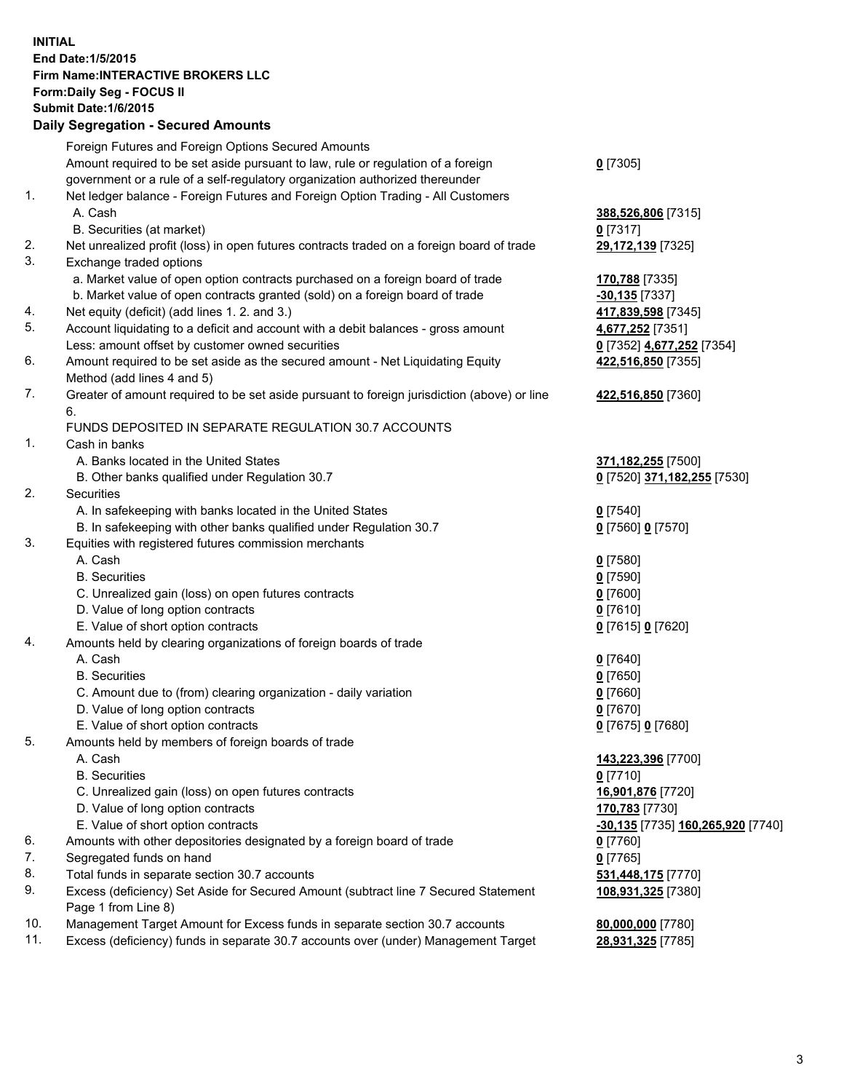## **INITIAL End Date:1/5/2015 Firm Name:INTERACTIVE BROKERS LLC Form:Daily Seg - FOCUS II Submit Date:1/6/2015 Daily Segregation - Secured Amounts**

|     | Foreign Futures and Foreign Options Secured Amounts                                         |                                   |
|-----|---------------------------------------------------------------------------------------------|-----------------------------------|
|     | Amount required to be set aside pursuant to law, rule or regulation of a foreign            | $0$ [7305]                        |
|     | government or a rule of a self-regulatory organization authorized thereunder                |                                   |
| 1.  | Net ledger balance - Foreign Futures and Foreign Option Trading - All Customers             |                                   |
|     | A. Cash                                                                                     | 388,526,806 [7315]                |
|     | B. Securities (at market)                                                                   | $0$ [7317]                        |
| 2.  | Net unrealized profit (loss) in open futures contracts traded on a foreign board of trade   | 29,172,139 [7325]                 |
| 3.  | Exchange traded options                                                                     |                                   |
|     | a. Market value of open option contracts purchased on a foreign board of trade              | 170,788 [7335]                    |
|     | b. Market value of open contracts granted (sold) on a foreign board of trade                | -30,135 <sup>[7337]</sup>         |
| 4.  | Net equity (deficit) (add lines 1.2. and 3.)                                                | 417,839,598 [7345]                |
| 5.  | Account liquidating to a deficit and account with a debit balances - gross amount           | 4,677,252 [7351]                  |
|     | Less: amount offset by customer owned securities                                            | 0 [7352] 4,677,252 [7354]         |
| 6.  | Amount required to be set aside as the secured amount - Net Liquidating Equity              | 422,516,850 [7355]                |
|     | Method (add lines 4 and 5)                                                                  |                                   |
| 7.  | Greater of amount required to be set aside pursuant to foreign jurisdiction (above) or line | 422,516,850 [7360]                |
|     | 6.                                                                                          |                                   |
|     | FUNDS DEPOSITED IN SEPARATE REGULATION 30.7 ACCOUNTS                                        |                                   |
| 1.  | Cash in banks                                                                               |                                   |
|     | A. Banks located in the United States                                                       | 371,182,255 [7500]                |
|     | B. Other banks qualified under Regulation 30.7                                              | 0 [7520] 371,182,255 [7530]       |
| 2.  | Securities                                                                                  |                                   |
|     | A. In safekeeping with banks located in the United States                                   | $0$ [7540]                        |
|     | B. In safekeeping with other banks qualified under Regulation 30.7                          | 0 [7560] 0 [7570]                 |
| 3.  | Equities with registered futures commission merchants                                       |                                   |
|     | A. Cash                                                                                     | $0$ [7580]                        |
|     | <b>B.</b> Securities                                                                        | $0$ [7590]                        |
|     | C. Unrealized gain (loss) on open futures contracts                                         | $0$ [7600]                        |
|     | D. Value of long option contracts                                                           | $0$ [7610]                        |
|     | E. Value of short option contracts                                                          | 0 [7615] 0 [7620]                 |
| 4.  | Amounts held by clearing organizations of foreign boards of trade                           |                                   |
|     | A. Cash                                                                                     | $0$ [7640]                        |
|     | <b>B.</b> Securities                                                                        | $0$ [7650]                        |
|     | C. Amount due to (from) clearing organization - daily variation                             | $0$ [7660]                        |
|     | D. Value of long option contracts                                                           | $0$ [7670]                        |
|     | E. Value of short option contracts                                                          | 0 [7675] 0 [7680]                 |
| 5.  | Amounts held by members of foreign boards of trade                                          |                                   |
|     | A. Cash                                                                                     | 143,223,396 [7700]                |
|     | <b>B.</b> Securities                                                                        | $0$ [7710]                        |
|     | C. Unrealized gain (loss) on open futures contracts                                         | 16,901,876 [7720]                 |
|     | D. Value of long option contracts                                                           | 170,783 [7730]                    |
|     | E. Value of short option contracts                                                          | -30,135 [7735] 160,265,920 [7740] |
| 6.  | Amounts with other depositories designated by a foreign board of trade                      | $0$ [7760]                        |
| 7.  | Segregated funds on hand                                                                    | $0$ [7765]                        |
| 8.  | Total funds in separate section 30.7 accounts                                               | 531,448,175 [7770]                |
| 9.  | Excess (deficiency) Set Aside for Secured Amount (subtract line 7 Secured Statement         | 108,931,325 [7380]                |
|     | Page 1 from Line 8)                                                                         |                                   |
| 10. | Management Target Amount for Excess funds in separate section 30.7 accounts                 | 80,000,000 [7780]                 |
| 11. | Excess (deficiency) funds in separate 30.7 accounts over (under) Management Target          | 28,931,325 [7785]                 |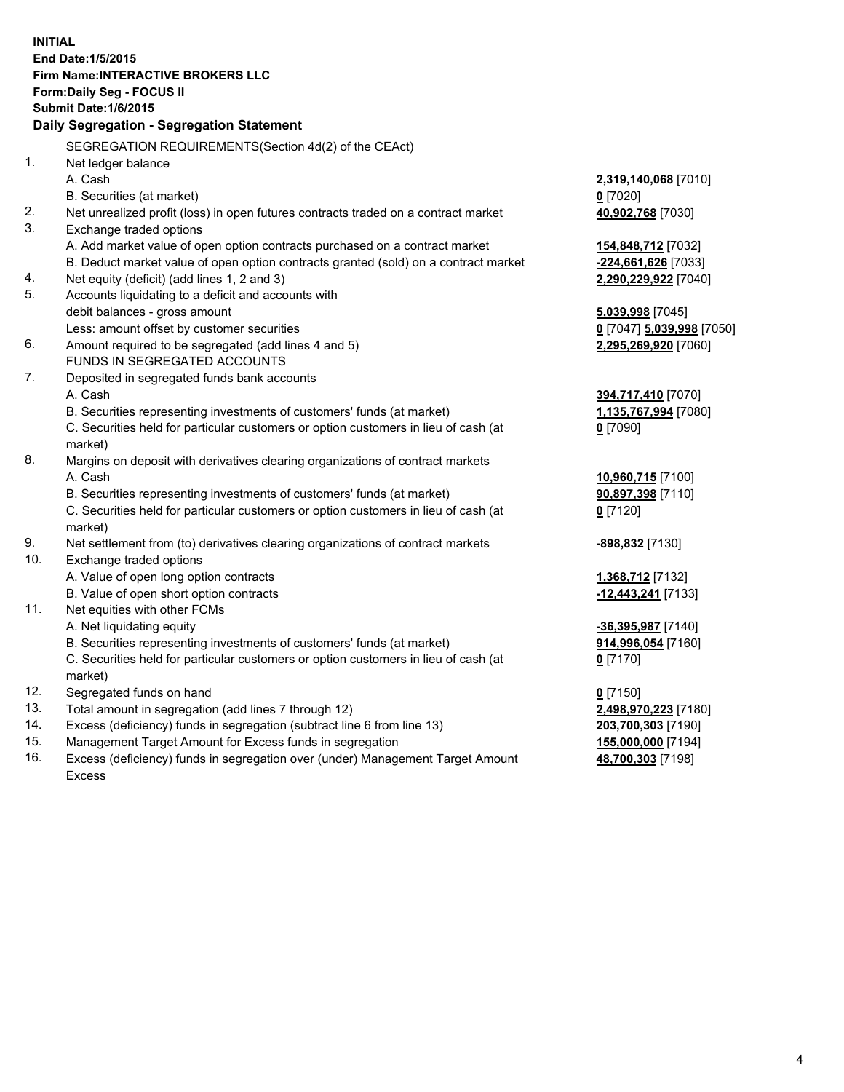**INITIAL End Date:1/5/2015 Firm Name:INTERACTIVE BROKERS LLC Form:Daily Seg - FOCUS II Submit Date:1/6/2015 Daily Segregation - Segregation Statement** SEGREGATION REQUIREMENTS(Section 4d(2) of the CEAct) 1. Net ledger balance A. Cash **2,319,140,068** [7010] B. Securities (at market) **0** [7020] 2. Net unrealized profit (loss) in open futures contracts traded on a contract market **40,902,768** [7030] 3. Exchange traded options A. Add market value of open option contracts purchased on a contract market **154,848,712** [7032] B. Deduct market value of open option contracts granted (sold) on a contract market **-224,661,626** [7033] 4. Net equity (deficit) (add lines 1, 2 and 3) **2,290,229,922** [7040] 5. Accounts liquidating to a deficit and accounts with debit balances - gross amount **5,039,998** [7045] Less: amount offset by customer securities **0** [7047] **5,039,998** [7050] 6. Amount required to be segregated (add lines 4 and 5) **2,295,269,920** [7060] FUNDS IN SEGREGATED ACCOUNTS 7. Deposited in segregated funds bank accounts A. Cash **394,717,410** [7070] B. Securities representing investments of customers' funds (at market) **1,135,767,994** [7080] C. Securities held for particular customers or option customers in lieu of cash (at market) **0** [7090] 8. Margins on deposit with derivatives clearing organizations of contract markets A. Cash **10,960,715** [7100] B. Securities representing investments of customers' funds (at market) **90,897,398** [7110] C. Securities held for particular customers or option customers in lieu of cash (at market) **0** [7120] 9. Net settlement from (to) derivatives clearing organizations of contract markets **-898,832** [7130] 10. Exchange traded options A. Value of open long option contracts **1,368,712** [7132] B. Value of open short option contracts **-12,443,241** [7133] 11. Net equities with other FCMs A. Net liquidating equity **-36,395,987** [7140] B. Securities representing investments of customers' funds (at market) **914,996,054** [7160] C. Securities held for particular customers or option customers in lieu of cash (at market) **0** [7170] 12. Segregated funds on hand **0** [7150] 13. Total amount in segregation (add lines 7 through 12) **2,498,970,223** [7180] 14. Excess (deficiency) funds in segregation (subtract line 6 from line 13) **203,700,303** [7190] 15. Management Target Amount for Excess funds in segregation **155,000,000** [7194]

16. Excess (deficiency) funds in segregation over (under) Management Target Amount Excess

**48,700,303** [7198]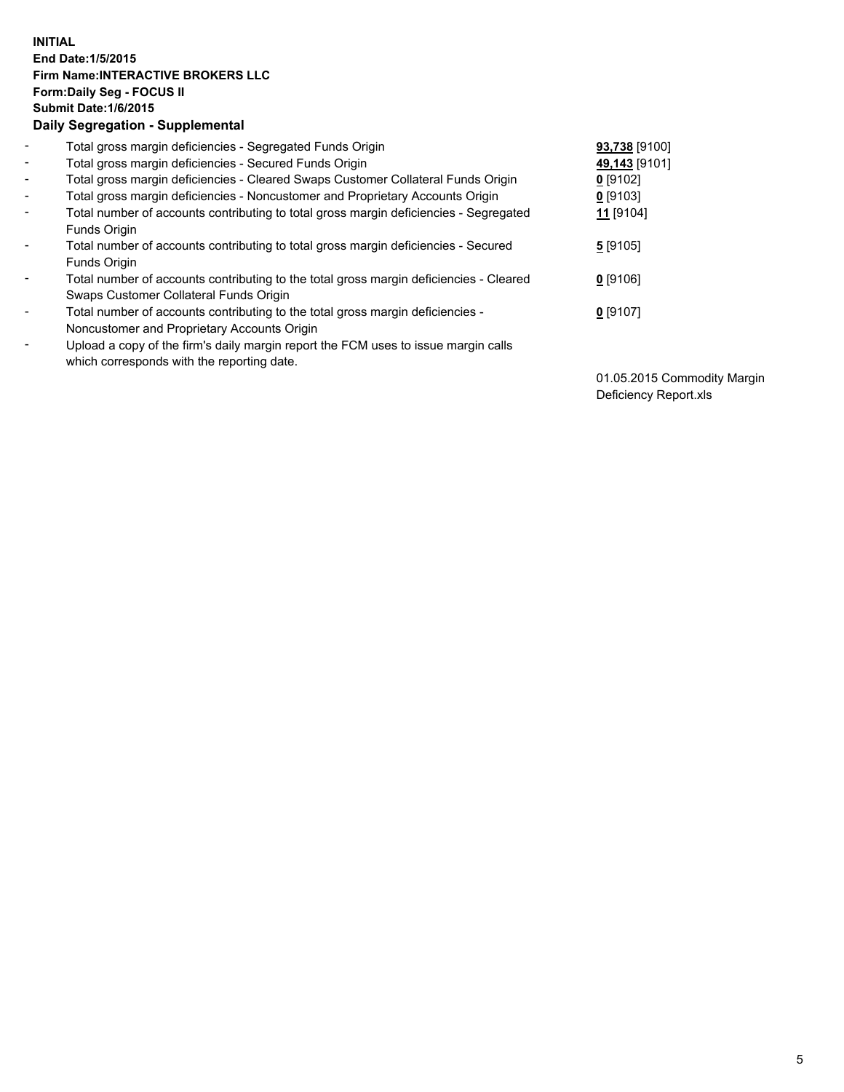## **INITIAL End Date:1/5/2015 Firm Name:INTERACTIVE BROKERS LLC Form:Daily Seg - FOCUS II Submit Date:1/6/2015 Daily Segregation - Supplemental**

| $\blacksquare$ | Total gross margin deficiencies - Segregated Funds Origin                              | 93,738 [9100]        |
|----------------|----------------------------------------------------------------------------------------|----------------------|
| $\sim$         | Total gross margin deficiencies - Secured Funds Origin                                 | 49,143 [9101]        |
| $\blacksquare$ | Total gross margin deficiencies - Cleared Swaps Customer Collateral Funds Origin       | $0$ [9102]           |
| $\blacksquare$ | Total gross margin deficiencies - Noncustomer and Proprietary Accounts Origin          | $0$ [9103]           |
| $\blacksquare$ | Total number of accounts contributing to total gross margin deficiencies - Segregated  | 11 <sub>[9104]</sub> |
|                | Funds Origin                                                                           |                      |
| $\blacksquare$ | Total number of accounts contributing to total gross margin deficiencies - Secured     | $5$ [9105]           |
|                | <b>Funds Origin</b>                                                                    |                      |
| $\blacksquare$ | Total number of accounts contributing to the total gross margin deficiencies - Cleared | $0$ [9106]           |
|                | Swaps Customer Collateral Funds Origin                                                 |                      |
| $\blacksquare$ | Total number of accounts contributing to the total gross margin deficiencies -         | $0$ [9107]           |
|                | Noncustomer and Proprietary Accounts Origin                                            |                      |
| ۰              | Upload a copy of the firm's daily margin report the FCM uses to issue margin calls     |                      |
|                | which corresponds with the reporting date.                                             |                      |

01.05.2015 Commodity Margin Deficiency Report.xls